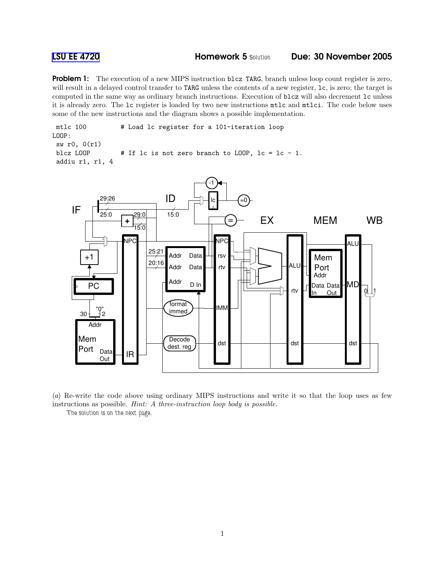**Problem 1:** The execution of a new MIPS instruction blcz TARG, branch unless loop count register is zero, will result in a delayed control transfer to TARG unless the contents of a new register, lc, is zero; the target is computed in the same way as ordinary branch instructions. Execution of blcz will also decrement lc unless it is already zero. The lc register is loaded by two new instructions mtlc and mtlci. The code below uses some of the new instructions and the diagram shows a possible implementation.

mtlc 100 # Load lc register for a 101-iteration loop LOOP: sw r0, 0(r1) blcz LOOP  $\#$  If lc is not zero branch to LOOP, lc = lc - 1. addiu r1, r1, 4



(a) Re-write the code above using ordinary MIPS instructions and write it so that the loop uses as few instructions as possible. Hint: A three-instruction loop body is possible.

The solution is on the next page.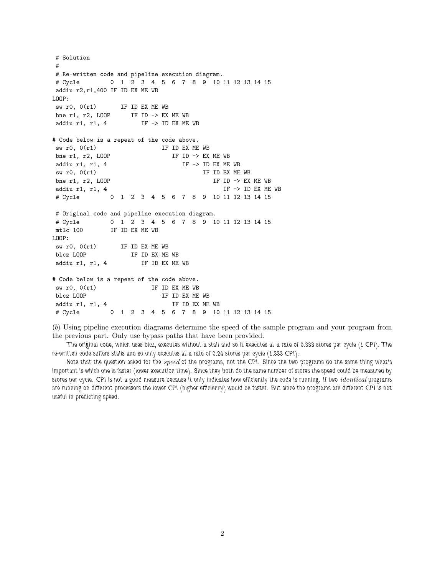```
# Solution
#
# Re-written code and pipeline execution diagram.
# Cycle 0 1 2 3 4 5 6 7 8 9 10 11 12 13 14 15
addiu r2,r1,400 IF ID EX ME WB
LOOP:
sw r0, 0(r1) IF ID EX ME WB
bne r1, r2, LOOP IF ID -> EX ME WB
addiu r1, r1, 4 IF \rightarrow ID EX ME WB# Code below is a repeat of the code above.
sw r0, 0(r1) IF ID EX ME WB
 bne r1, r2, LOOP                        IF ID -> EX ME WB
 addiu r1, r1, 4 IF -> ID EX ME WB
sw r0, 0(r1) IF ID EX ME WB
bne r1, r2, LOOP IF ID \rightarrow EX ME WB
addiu r1, r1, 4 IF \rightarrow ID EX ME WB# Cycle 0 1 2 3 4 5 6 7 8 9 10 11 12 13 14 15
# Original code and pipeline execution diagram.
# Cycle 0 1 2 3 4 5 6 7 8 9 10 11 12 13 14 15
mtlc 100 IF ID EX ME WB
LOOP:
 sw r0, 0(r1) IF ID EX ME WB
 blcz LOOP IF ID EX ME WB
addiu r1, r1, 4 IF ID EX ME WB
# Code below is a repeat of the code above.
\text{sw } \text{r0, 0(r1)} IF ID EX ME WB
blcz LOOP \begin{array}{ccc} \text{if} & \text{if} & \text{if} & \text{if} & \text{if} & \text{if} & \text{if} & \text{if} & \text{if} & \text{if} & \text{if} & \text{if} & \text{if} & \text{if} & \text{if} & \text{if} & \text{if} & \text{if} & \text{if} & \text{if} & \text{if} & \text{if} & \text{if} & \text{if} & \text{if} & \text{if} & \text{if} & \text{if} & \text{if} & \text{if} & \text{if} & \text{if} & \text{if} & \text{if}addiu r1, r1, 4 IF ID EX ME WB
# Cycle 0 1 2 3 4 5 6 7 8 9 10 11 12 13 14 15
```
(b) Using pipeline execution diagrams determine the speed of the sample program and your program from the previous part. Only use bypass paths that have been provided.

The original code, which uses blcz, executes without a stall and so it executes at a rate of 0.333 stores per cycle (1 CPI). The re-written code suffers stalls and so only executes at a rate of 0.24 stores per cycle (1.333 CPI).

Note that the question asked for the *speed* of the programs, not the CPI. Since the two programs do the same thing what's important is which one is faster (lower execution time). Since they both do the same number of stores the speed could be measured by stores per cycle. CPI is not a good measure because it only indicates how efficiently the code is running. If two *identical* programs are running on different processors the lower CPI (higher efficiency) would be faster. But since the programs are different CPI is not useful in predicting speed.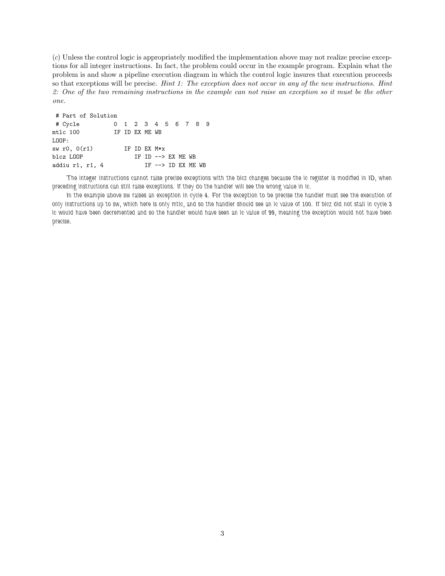(c) Unless the control logic is appropriately modified the implementation above may not realize precise exceptions for all integer instructions. In fact, the problem could occur in the example program. Explain what the problem is and show a pipeline execution diagram in which the control logic insures that execution proceeds so that exceptions will be precise. Hint 1: The exception does not occur in any of the new instructions. Hint 2: One of the two remaining instructions in the example can not raise an exception so it must be the other one.

| # Part of Solution |  |                |              |                             |  |  |
|--------------------|--|----------------|--------------|-----------------------------|--|--|
| # Cycle            |  |                |              | 0 1 2 3 4 5 6 7 8 9         |  |  |
| $mtlc$ 100         |  | TF TD FX MF WB |              |                             |  |  |
| LOOP:              |  |                |              |                             |  |  |
| sw $r0$ , $0(r1)$  |  |                | TF TD FX M*x |                             |  |  |
| blcz LOOP          |  |                |              | IF ID $\leftarrow$ EX ME WB |  |  |
| addiu r1, r1, 4    |  |                |              | IF $\leftarrow$ ID EX ME WB |  |  |

The integer instructions cannot raise precise exceptions with the blcz changes because the lc register is modified in ID, when preceding instructions can still raise exceptions. If they do the handler will see the wrong value in lc.

In the example above sw raises an exception in cycle 4. For the exception to be precise the handler must see the execution of only instructions up to sw, which here is only mtlc, and so the handler should see an lc value of 100. If blcz did not stall in cycle 3 lc would have been decremented and so the handler would have seen an lc value of 99, meaning the exception would not have been precise.